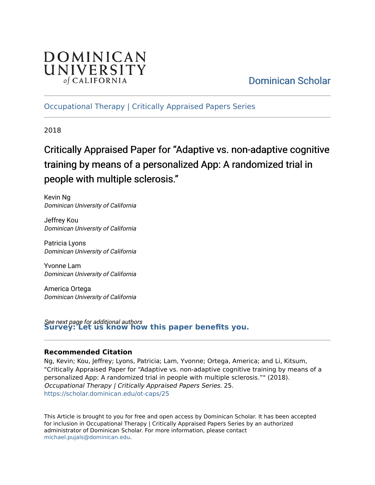

## [Dominican Scholar](https://scholar.dominican.edu/)

[Occupational Therapy | Critically Appraised Papers Series](https://scholar.dominican.edu/ot-caps) 

2018

## Critically Appraised Paper for "Adaptive vs. non-adaptive cognitive training by means of a personalized App: A randomized trial in people with multiple sclerosis."

Kevin Ng Dominican University of California

Jeffrey Kou Dominican University of California

Patricia Lyons Dominican University of California

Yvonne Lam Dominican University of California

America Ortega Dominican University of California

See next page for additional authors **[Survey: Let us know how this paper benefits you.](https://dominican.libwizard.com/dominican-scholar-feedback)** 

#### **Recommended Citation**

Ng, Kevin; Kou, Jeffrey; Lyons, Patricia; Lam, Yvonne; Ortega, America; and Li, Kitsum, "Critically Appraised Paper for "Adaptive vs. non-adaptive cognitive training by means of a personalized App: A randomized trial in people with multiple sclerosis."" (2018). Occupational Therapy | Critically Appraised Papers Series. 25. [https://scholar.dominican.edu/ot-caps/25](https://scholar.dominican.edu/ot-caps/25?utm_source=scholar.dominican.edu%2Fot-caps%2F25&utm_medium=PDF&utm_campaign=PDFCoverPages) 

This Article is brought to you for free and open access by Dominican Scholar. It has been accepted for inclusion in Occupational Therapy | Critically Appraised Papers Series by an authorized administrator of Dominican Scholar. For more information, please contact [michael.pujals@dominican.edu.](mailto:michael.pujals@dominican.edu)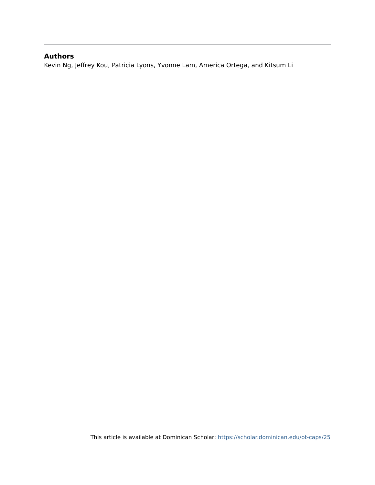#### **Authors**

Kevin Ng, Jeffrey Kou, Patricia Lyons, Yvonne Lam, America Ortega, and Kitsum Li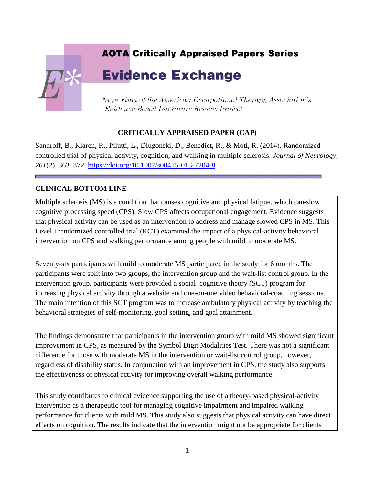# **AOTA Critically Appraised Papers Series Evidence Exchange** \*A product of the American Occupational Therapy Association's Evidence-Based Literature Review Project

## **CRITICALLY APPRAISED PAPER (CAP)**

Sandroff, B., Klaren, R., Pilutti, L., Dlugonski, D., Benedict, R., & Motl, R. (2014). Randomized controlled trial of physical activity, cognition, and walking in multiple sclerosis. *Journal of Neurology, 261*(2), 363–372.<https://doi.org/10.1007/s00415-013-7204-8>

## **CLINICAL BOTTOM LINE**

Multiple sclerosis (MS) is a condition that causes cognitive and physical fatigue, which can slow cognitive processing speed (CPS). Slow CPS affects occupational engagement. Evidence suggests that physical activity can be used as an intervention to address and manage slowed CPS in MS. This Level I randomized controlled trial (RCT) examined the impact of a physical-activity behavioral intervention on CPS and walking performance among people with mild to moderate MS.

Seventy-six participants with mild to moderate MS participated in the study for 6 months. The participants were split into two groups, the intervention group and the wait-list control group. In the intervention group, participants were provided a social–cognitive theory (SCT) program for increasing physical activity through a website and one-on-one video behavioral-coaching sessions. The main intention of this SCT program was to increase ambulatory physical activity by teaching the behavioral strategies of self-monitoring, goal setting, and goal attainment.

The findings demonstrate that participants in the intervention group with mild MS showed significant improvement in CPS, as measured by the Symbol Digit Modalities Test. There was not a significant difference for those with moderate MS in the intervention or wait-list control group, however, regardless of disability status. In conjunction with an improvement in CPS, the study also supports the effectiveness of physical activity for improving overall walking performance.

This study contributes to clinical evidence supporting the use of a theory-based physical-activity intervention as a therapeutic tool for managing cognitive impairment and impaired walking performance for clients with mild MS. This study also suggests that physical activity can have direct effects on cognition. The results indicate that the intervention might not be appropriate for clients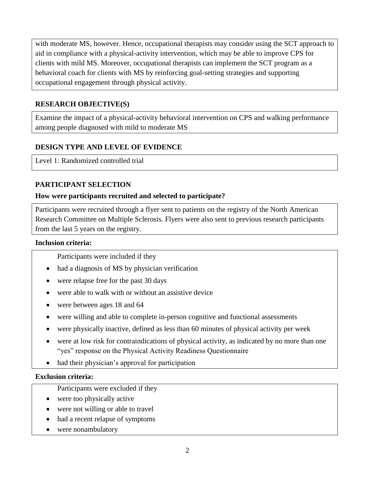with moderate MS, however. Hence, occupational therapists may consider using the SCT approach to aid in compliance with a physical-activity intervention, which may be able to improve CPS for clients with mild MS. Moreover, occupational therapists can implement the SCT program as a behavioral coach for clients with MS by reinforcing goal-setting strategies and supporting occupational engagement through physical activity.

#### **RESEARCH OBJECTIVE(S)**

Examine the impact of a physical-activity behavioral intervention on CPS and walking performance among people diagnosed with mild to moderate MS

#### **DESIGN TYPE AND LEVEL OF EVIDENCE**

Level 1: Randomized controlled trial

#### **PARTICIPANT SELECTION**

#### **How were participants recruited and selected to participate?**

Participants were recruited through a flyer sent to patients on the registry of the North American Research Committee on Multiple Sclerosis. Flyers were also sent to previous research participants from the last 5 years on the registry.

#### **Inclusion criteria:**

Participants were included if they

- had a diagnosis of MS by physician verification
- were relapse free for the past 30 days
- were able to walk with or without an assistive device
- were between ages 18 and 64
- were willing and able to complete in-person cognitive and functional assessments
- were physically inactive, defined as less than 60 minutes of physical activity per week
- were at low risk for contraindications of physical activity, as indicated by no more than one "yes" response on the Physical Activity Readiness Questionnaire
- had their physician's approval for participation

#### **Exclusion criteria:**

- Participants were excluded if they
- were too physically active
- were not willing or able to travel
- had a recent relapse of symptoms
- were nonambulatory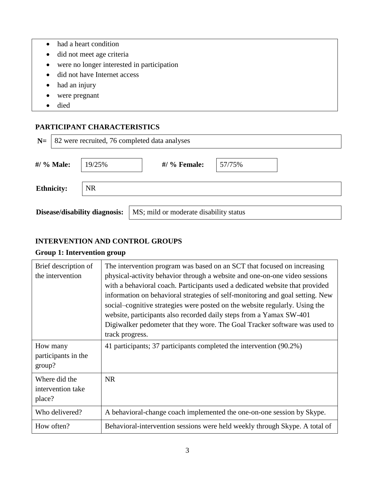- had a heart condition
- did not meet age criteria
- were no longer interested in participation
- did not have Internet access
- had an injury
- were pregnant
- died

#### **PARTICIPANT CHARACTERISTICS**

| $N=$                           | 82 were recruited, 76 completed data analyses |        |                                        |        |  |
|--------------------------------|-----------------------------------------------|--------|----------------------------------------|--------|--|
|                                | #/ % Male:                                    | 19/25% | $#/$ % Female:                         | 57/75% |  |
| <b>NR</b><br><b>Ethnicity:</b> |                                               |        |                                        |        |  |
| Disease/disability diagnosis:  |                                               |        | MS; mild or moderate disability status |        |  |

#### **INTERVENTION AND CONTROL GROUPS**

#### **Group 1: Intervention group**

| Brief description of<br>the intervention     | The intervention program was based on an SCT that focused on increasing<br>physical-activity behavior through a website and one-on-one video sessions<br>with a behavioral coach. Participants used a dedicated website that provided<br>information on behavioral strategies of self-monitoring and goal setting. New<br>social–cognitive strategies were posted on the website regularly. Using the<br>website, participants also recorded daily steps from a Yamax SW-401<br>Digiwalker pedometer that they wore. The Goal Tracker software was used to<br>track progress. |
|----------------------------------------------|-------------------------------------------------------------------------------------------------------------------------------------------------------------------------------------------------------------------------------------------------------------------------------------------------------------------------------------------------------------------------------------------------------------------------------------------------------------------------------------------------------------------------------------------------------------------------------|
| How many<br>participants in the<br>group?    | 41 participants; 37 participants completed the intervention (90.2%)                                                                                                                                                                                                                                                                                                                                                                                                                                                                                                           |
| Where did the<br>intervention take<br>place? | <b>NR</b>                                                                                                                                                                                                                                                                                                                                                                                                                                                                                                                                                                     |
| Who delivered?                               | A behavioral-change coach implemented the one-on-one session by Skype.                                                                                                                                                                                                                                                                                                                                                                                                                                                                                                        |
| How often?                                   | Behavioral-intervention sessions were held weekly through Skype. A total of                                                                                                                                                                                                                                                                                                                                                                                                                                                                                                   |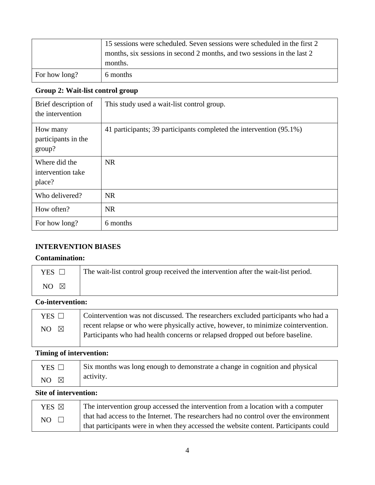| 15 sessions were scheduled. Seven sessions were scheduled in the first 2 |                                                                         |
|--------------------------------------------------------------------------|-------------------------------------------------------------------------|
|                                                                          | months, six sessions in second 2 months, and two sessions in the last 2 |
|                                                                          | months.                                                                 |
| For how long?                                                            | 6 months                                                                |

#### **Group 2: Wait-list control group**

| Brief description of<br>the intervention     | This study used a wait-list control group.                          |
|----------------------------------------------|---------------------------------------------------------------------|
| How many<br>participants in the<br>group?    | 41 participants; 39 participants completed the intervention (95.1%) |
| Where did the<br>intervention take<br>place? | <b>NR</b>                                                           |
| Who delivered?                               | <b>NR</b>                                                           |
| How often?                                   | <b>NR</b>                                                           |
| For how long?                                | 6 months                                                            |

#### **INTERVENTION BIASES**

#### **Contamination:**

| YES <sup>1</sup>   | The wait-list control group received the intervention after the wait-list period. |
|--------------------|-----------------------------------------------------------------------------------|
| NO.<br>$\boxtimes$ |                                                                                   |

## **Co-intervention:**

| YES $\Box$      | Cointervention was not discussed. The researchers excluded participants who had a                                                                                   |
|-----------------|---------------------------------------------------------------------------------------------------------------------------------------------------------------------|
| $\times$<br>NO. | recent relapse or who were physically active, however, to minimize cointervention.<br>Participants who had health concerns or relapsed dropped out before baseline. |
|                 |                                                                                                                                                                     |

## **Timing of intervention:**

| $YES$ $\square$ | Six months was long enough to demonstrate a change in cognition and physical |
|-----------------|------------------------------------------------------------------------------|
| NO $\boxtimes$  | activity.                                                                    |

## **Site of intervention:**

| YES $\boxtimes$ | The intervention group accessed the intervention from a location with a computer     |  |  |
|-----------------|--------------------------------------------------------------------------------------|--|--|
| NO              | that had access to the Internet. The researchers had no control over the environment |  |  |
|                 | that participants were in when they accessed the website content. Participants could |  |  |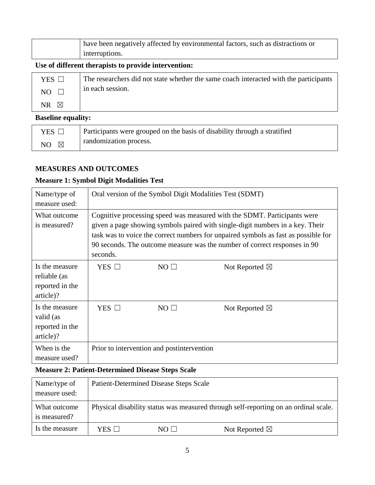| have been negatively affected by environmental factors, such as distractions or |
|---------------------------------------------------------------------------------|
| interruptions.                                                                  |

#### **Use of different therapists to provide intervention:**

| .               |                                                                                       |  |  |
|-----------------|---------------------------------------------------------------------------------------|--|--|
| $NR \times$     |                                                                                       |  |  |
| NO.             | in each session.                                                                      |  |  |
| $YES$ $\square$ | The researchers did not state whether the same coach interacted with the participants |  |  |

#### **Baseline equality:**

| YES $\Box$           | Participants were grouped on the basis of disability through a stratified |
|----------------------|---------------------------------------------------------------------------|
| $NO \quad \boxtimes$ | randomization process.                                                    |

#### **MEASURES AND OUTCOMES**

#### **Measure 1: Symbol Digit Modalities Test**

| Name/type of<br>measure used:                                              | Oral version of the Symbol Digit Modalities Test (SDMT)                                                                                                                                                                                                                                                                                  |           |                          |  |
|----------------------------------------------------------------------------|------------------------------------------------------------------------------------------------------------------------------------------------------------------------------------------------------------------------------------------------------------------------------------------------------------------------------------------|-----------|--------------------------|--|
| What outcome<br>is measured?                                               | Cognitive processing speed was measured with the SDMT. Participants were<br>given a page showing symbols paired with single-digit numbers in a key. Their<br>task was to voice the correct numbers for unpaired symbols as fast as possible for<br>90 seconds. The outcome measure was the number of correct responses in 90<br>seconds. |           |                          |  |
| Is the measure<br>reliable (as<br>reported in the<br>article)?             | YES $\square$                                                                                                                                                                                                                                                                                                                            | $NO \Box$ | Not Reported $\boxtimes$ |  |
| Is the measure<br>valid (as<br>reported in the<br>article)?                | YES $\Box$                                                                                                                                                                                                                                                                                                                               | $NO \Box$ | Not Reported $\boxtimes$ |  |
| When is the<br>Prior to intervention and postintervention<br>measure used? |                                                                                                                                                                                                                                                                                                                                          |           |                          |  |

#### **Measure 2: Patient-Determined Disease Steps Scale**

| Name/type of<br>measure used: |            | <b>Patient-Determined Disease Steps Scale</b> |                                                                                     |
|-------------------------------|------------|-----------------------------------------------|-------------------------------------------------------------------------------------|
| What outcome<br>is measured?  |            |                                               | Physical disability status was measured through self-reporting on an ordinal scale. |
| Is the measure                | YES $\Box$ | $NO \Box$                                     | Not Reported $\boxtimes$                                                            |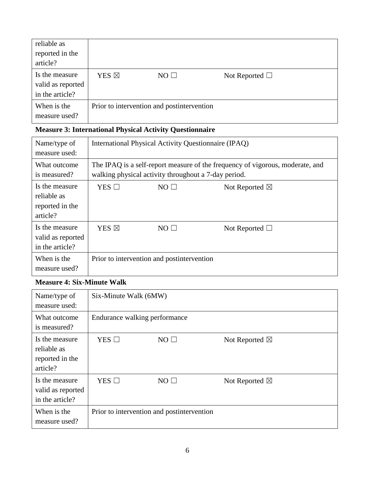| reliable as<br>reported in the<br>article?             |                 |                                            |                     |  |
|--------------------------------------------------------|-----------------|--------------------------------------------|---------------------|--|
| Is the measure<br>valid as reported<br>in the article? | YES $\boxtimes$ | $NO \Box$                                  | Not Reported $\Box$ |  |
| When is the<br>measure used?                           |                 | Prior to intervention and postintervention |                     |  |

## **Measure 3: International Physical Activity Questionnaire**

| Name/type of<br>measure used:                                |                    | International Physical Activity Questionnaire (IPAQ) |                                                                               |
|--------------------------------------------------------------|--------------------|------------------------------------------------------|-------------------------------------------------------------------------------|
| What outcome<br>is measured?                                 |                    | walking physical activity throughout a 7-day period. | The IPAQ is a self-report measure of the frequency of vigorous, moderate, and |
| Is the measure<br>reliable as<br>reported in the<br>article? | $YES$ $\Box$       | $NO \Box$                                            | Not Reported $\boxtimes$                                                      |
| Is the measure<br>valid as reported<br>in the article?       | YES <sup>[X]</sup> | $NO \Box$                                            | Not Reported $\Box$                                                           |
| When is the<br>measure used?                                 |                    | Prior to intervention and postintervention           |                                                                               |

#### **Measure 4: Six-Minute Walk**

| Name/type of<br>measure used:                                | Six-Minute Walk (6MW) |                                            |                          |  |
|--------------------------------------------------------------|-----------------------|--------------------------------------------|--------------------------|--|
| What outcome<br>is measured?                                 |                       | Endurance walking performance              |                          |  |
| Is the measure<br>reliable as<br>reported in the<br>article? | $YES$ $\square$       | $NO \Box$                                  | Not Reported $\boxtimes$ |  |
| Is the measure<br>valid as reported<br>in the article?       | $YES$ $\square$       | $NO \Box$                                  | Not Reported $\boxtimes$ |  |
| When is the<br>measure used?                                 |                       | Prior to intervention and postintervention |                          |  |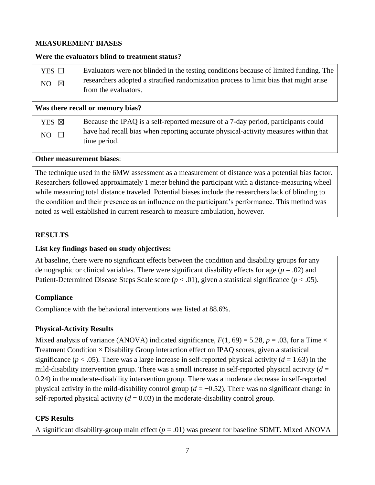#### **MEASUREMENT BIASES**

#### **Were the evaluators blind to treatment status?**

| Evaluators were not blinded in the testing conditions because of limited funding. The | YES $\Box$           |
|---------------------------------------------------------------------------------------|----------------------|
| researchers adopted a stratified randomization process to limit bias that might arise | NO $\boxtimes$       |
|                                                                                       | from the evaluators. |

**Was there recall or memory bias?** 

| YES $\boxtimes$ | Because the IPAQ is a self-reported measure of a 7-day period, participants could   |
|-----------------|-------------------------------------------------------------------------------------|
| NO.             | have had recall bias when reporting accurate physical-activity measures within that |
| $\Box$          | time period.                                                                        |

**Other measurement biases**:

The technique used in the 6MW assessment as a measurement of distance was a potential bias factor. Researchers followed approximately 1 meter behind the participant with a distance-measuring wheel while measuring total distance traveled. Potential biases include the researchers lack of blinding to the condition and their presence as an influence on the participant's performance. This method was noted as well established in current research to measure ambulation, however.

#### **RESULTS**

#### **List key findings based on study objectives:**

At baseline, there were no significant effects between the condition and disability groups for any demographic or clinical variables. There were significant disability effects for age  $(p = .02)$  and Patient-Determined Disease Steps Scale score  $(p < .01)$ , given a statistical significance  $(p < .05)$ .

#### **Compliance**

Compliance with the behavioral interventions was listed at 88.6%.

#### **Physical-Activity Results**

Mixed analysis of variance (ANOVA) indicated significance,  $F(1, 69) = 5.28$ ,  $p = .03$ , for a Time  $\times$ Treatment Condition  $\times$  Disability Group interaction effect on IPAQ scores, given a statistical significance ( $p < .05$ ). There was a large increase in self-reported physical activity ( $d = 1.63$ ) in the mild-disability intervention group. There was a small increase in self-reported physical activity  $(d =$ 0.24) in the moderate-disability intervention group. There was a moderate decrease in self-reported physical activity in the mild-disability control group  $(d = -0.52)$ . There was no significant change in self-reported physical activity  $(d = 0.03)$  in the moderate-disability control group.

#### **CPS Results**

A significant disability-group main effect  $(p = .01)$  was present for baseline SDMT. Mixed ANOVA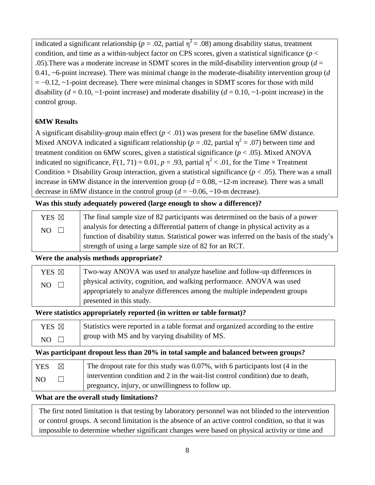indicated a significant relationship ( $p = .02$ , partial  $\eta^2 = .08$ ) among disability status, treatment condition, and time as a within-subject factor on CPS scores, given a statistical significance ( $p <$ .05).There was a moderate increase in SDMT scores in the mild-disability intervention group (*d* = 0.41, ~6-point increase). There was minimal change in the moderate-disability intervention group (*d*   $= -0.12$ ,  $\sim$ 1-point decrease). There were minimal changes in SDMT scores for those with mild disability ( $d = 0.10$ ,  $\sim$ 1-point increase) and moderate disability ( $d = 0.10$ ,  $\sim$ 1-point increase) in the control group.

#### **6MW Results**

A significant disability-group main effect  $(p < .01)$  was present for the baseline 6MW distance. Mixed ANOVA indicated a significant relationship ( $p = .02$ , partial  $\eta^2 = .07$ ) between time and treatment condition on 6MW scores, given a statistical significance ( $p < .05$ ). Mixed ANOVA indicated no significance,  $F(1, 71) = 0.01$ ,  $p = .93$ , partial  $\eta^2 < .01$ , for the Time  $\times$  Treatment Condition  $\times$  Disability Group interaction, given a statistical significance ( $p < .05$ ). There was a small increase in 6MW distance in the intervention group  $(d = 0.08, -12$ -m increase). There was a small decrease in 6MW distance in the control group  $(d = -0.06, \sim 10$ -m decrease).

#### **Was this study adequately powered (large enough to show a difference)?**

| YES $\boxtimes$ | The final sample size of 82 participants was determined on the basis of a power           |
|-----------------|-------------------------------------------------------------------------------------------|
| $NO \square$    | analysis for detecting a differential pattern of change in physical activity as a         |
|                 | function of disability status. Statistical power was inferred on the basis of the study's |
|                 | strength of using a large sample size of 82 for an RCT.                                   |

#### **Were the analysis methods appropriate?**

| YES ⊠         | Two-way ANOVA was used to analyze baseline and follow-up differences in    |
|---------------|----------------------------------------------------------------------------|
| NO.<br>$\Box$ | physical activity, cognition, and walking performance. ANOVA was used      |
|               | appropriately to analyze differences among the multiple independent groups |
|               | presented in this study.                                                   |

#### **Were statistics appropriately reported (in written or table format)?**

| YES ⊠        | Statistics were reported in a table format and organized according to the entire |
|--------------|----------------------------------------------------------------------------------|
| $NO \square$ | group with MS and by varying disability of MS.                                   |

#### **Was participant dropout less than 20% in total sample and balanced between groups?**

| <b>YES</b>      | ⊠ | The dropout rate for this study was 0.07%, with 6 participants lost (4 in the  |
|-----------------|---|--------------------------------------------------------------------------------|
| NO <sub>1</sub> |   | intervention condition and 2 in the wait-list control condition) due to death, |
|                 |   | pregnancy, injury, or unwillingness to follow up.                              |

#### **What are the overall study limitations?**

The first noted limitation is that testing by laboratory personnel was not blinded to the intervention or control groups. A second limitation is the absence of an active control condition, so that it was impossible to determine whether significant changes were based on physical activity or time and